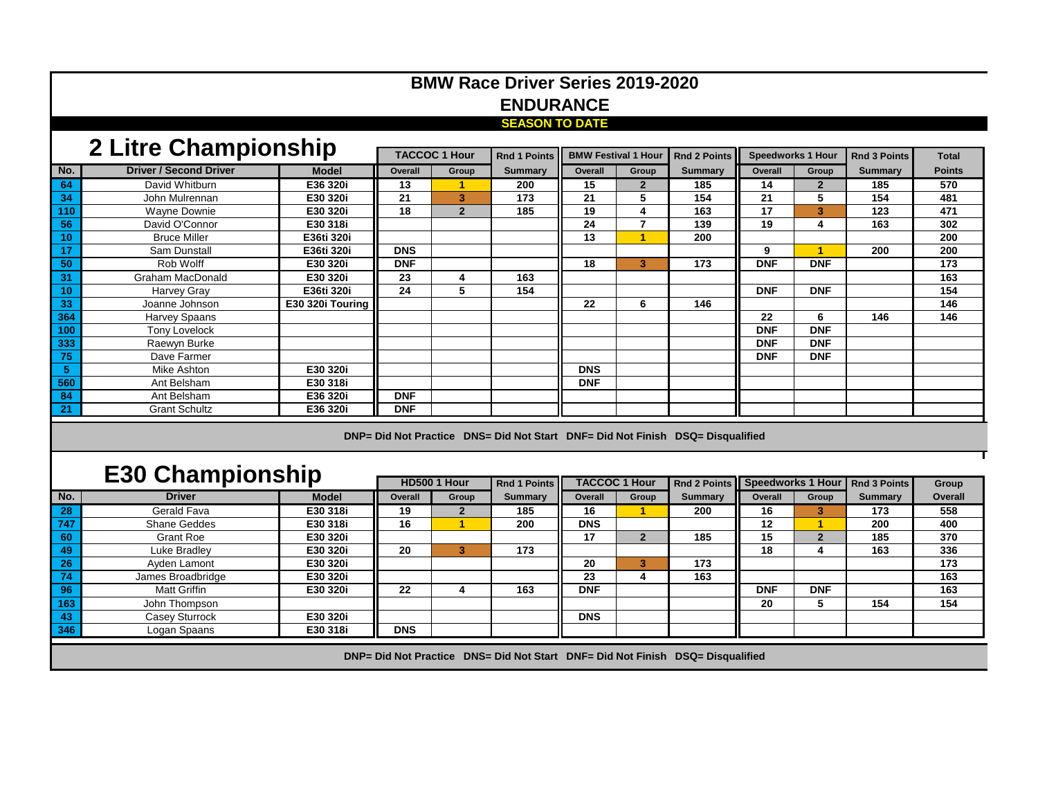## **BMW Race Driver Series 2019-2020 ENDURANCE**

## **SEASON TO DATE**

| 2 Litre Championship                                                           |                               |                  |                      |                |                     |                            |              |                |                          |                |                     |               |
|--------------------------------------------------------------------------------|-------------------------------|------------------|----------------------|----------------|---------------------|----------------------------|--------------|----------------|--------------------------|----------------|---------------------|---------------|
|                                                                                |                               |                  | <b>TACCOC 1 Hour</b> |                | <b>Rnd 1 Points</b> | <b>BMW Festival 1 Hour</b> |              | Rnd 2 Points   | <b>Speedworks 1 Hour</b> |                | <b>Rnd 3 Points</b> | Total         |
| No.                                                                            | <b>Driver / Second Driver</b> | <b>Model</b>     | Overall              | Group          | <b>Summary</b>      | Overall                    | Group        | <b>Summary</b> | Overall                  | Group          | <b>Summary</b>      | <b>Points</b> |
| 64                                                                             | David Whitburn                | E36 320i         | 13                   |                | 200                 | 15                         | $\mathbf{2}$ | 185            | 14                       | $\overline{2}$ | 185                 | 570           |
| 34                                                                             | John Mulrennan                | E30 320i         | 21                   | 3              | 173                 | 21                         | 5            | 154            | 21                       | 5              | 154                 | 481           |
| 110                                                                            | Wayne Downie                  | E30 320i         | 18                   | $\overline{2}$ | 185                 | 19                         | 4            | 163            | 17                       | 3              | 123                 | 471           |
| 56                                                                             | David O'Connor                | E30 318i         |                      |                |                     | 24                         |              | 139            | 19                       | 4              | 163                 | 302           |
| 10                                                                             | <b>Bruce Miller</b>           | E36ti 320i       |                      |                |                     | 13                         | 1            | 200            |                          |                |                     | 200           |
| 17                                                                             | Sam Dunstall                  | E36ti 320i       | <b>DNS</b>           |                |                     |                            |              |                | 9                        |                | 200                 | 200           |
| 50                                                                             | Rob Wolff                     | E30 320i         | <b>DNF</b>           |                |                     | 18                         | 3            | 173            | <b>DNF</b>               | <b>DNF</b>     |                     | 173           |
| 31                                                                             | Graham MacDonald              | E30 320i         | 23                   | 4              | 163                 |                            |              |                |                          |                |                     | 163           |
| 10                                                                             | Harvey Gray                   | E36ti 320i       | 24                   | 5              | 154                 |                            |              |                | <b>DNF</b>               | <b>DNF</b>     |                     | 154           |
| 33                                                                             | Joanne Johnson                | E30 320i Touring |                      |                |                     | 22                         | 6            | 146            |                          |                |                     | 146           |
| 364                                                                            | Harvey Spaans                 |                  |                      |                |                     |                            |              |                | 22                       | 6              | 146                 | 146           |
| 100                                                                            | <b>Tony Lovelock</b>          |                  |                      |                |                     |                            |              |                | <b>DNF</b>               | <b>DNF</b>     |                     |               |
| 333                                                                            | Raewyn Burke                  |                  |                      |                |                     |                            |              |                | <b>DNF</b>               | <b>DNF</b>     |                     |               |
| 75                                                                             | Dave Farmer                   |                  |                      |                |                     |                            |              |                | <b>DNF</b>               | <b>DNF</b>     |                     |               |
| 5.                                                                             | Mike Ashton                   | E30 320i         |                      |                |                     | <b>DNS</b>                 |              |                |                          |                |                     |               |
| 560                                                                            | Ant Belsham                   | E30 318i         |                      |                |                     | <b>DNF</b>                 |              |                |                          |                |                     |               |
| 84                                                                             | Ant Belsham                   | E36 320i         | <b>DNF</b>           |                |                     |                            |              |                |                          |                |                     |               |
| 21                                                                             | <b>Grant Schultz</b>          | E36 320i         | <b>DNF</b>           |                |                     |                            |              |                |                          |                |                     |               |
|                                                                                |                               |                  |                      |                |                     |                            |              |                |                          |                |                     |               |
| DNP= Did Not Practice DNS= Did Not Start DNF= Did Not Finish DSQ= Disqualified |                               |                  |                      |                |                     |                            |              |                |                          |                |                     |               |

## **E30 Championship**

| LUU UNUNDUUSINU |                     |              | HD500 1 Hour |       | <b>Rnd 1 Points II</b> | <b>TACCOC 1 Hour</b> |       |                | Rnd 2 Points   Speedworks 1 Hour   Rnd 3 Points |            |         | Group   |
|-----------------|---------------------|--------------|--------------|-------|------------------------|----------------------|-------|----------------|-------------------------------------------------|------------|---------|---------|
| No.             | <b>Driver</b>       | <b>Model</b> | Overall      | Group | Summary                | Overall              | Group | <b>Summary</b> | Overall                                         | Group      | Summary | Overall |
| 28              | Gerald Fava         | E30 318i     | 19           |       | 185                    | 16                   |       | 200            | 16                                              |            | 173     | 558     |
| 747             | <b>Shane Geddes</b> | E30 318i     | 16           |       | 200                    | <b>DNS</b>           |       |                | 12                                              |            | 200     | 400     |
| 60              | Grant Roe           | E30 320i     |              |       |                        | 17                   |       | 185            | 15                                              |            | 185     | 370     |
| 49              | Luke Bradley        | E30 320i     | 20           |       | 173                    |                      |       |                | 18                                              |            | 163     | 336     |
| 26              | Ayden Lamont        | E30 320i     |              |       |                        | 20                   |       | 173            |                                                 |            |         | 173     |
| 74              | James Broadbridge   | E30 320i     |              |       |                        | 23                   |       | 163            |                                                 |            |         | 163     |
| 96              | Matt Griffin        | E30 320i     | 22           | л     | 163                    | <b>DNF</b>           |       |                | <b>DNF</b>                                      | <b>DNF</b> |         | 163     |
| 163             | John Thompson       |              |              |       |                        |                      |       |                | 20                                              |            | 154     | 154     |
| 43              | Casey Sturrock      | E30 320i     |              |       |                        | <b>DNS</b>           |       |                |                                                 |            |         |         |
| 346             | Logan Spaans        | E30 318i     | <b>DNS</b>   |       |                        |                      |       |                |                                                 |            |         |         |
|                 |                     |              |              |       |                        |                      |       |                |                                                 |            |         |         |

**DNP= Did Not Practice DNS= Did Not Start DNF= Did Not Finish DSQ= Disqualified**